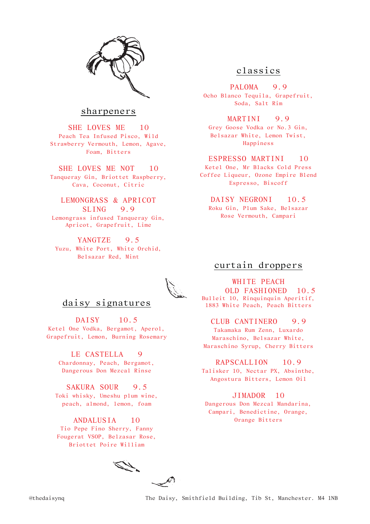

### sharpeners

SHE LOVES ME 10 Peach Tea Infused Pisco, Wild Strawberry Vermouth, Lemon, Agave, Foam, Bitters

SHE LOVES ME NOT 10 Tanqueray Gin, Briottet Raspberry, Cava, Coconut, Citric

### LEMONGRASS & APRICOT SLING 9.9

Lemongrass infused Tanqueray Gin, Apricot, Grapefruit, Lime

YANGTZE 9.5 Yuzu, White Port, White Orchid, Belsazar Red, Mint

### daisy signatures

DAISY 10.5 Ketel One Vodka, Bergamot, Aperol, Grapefruit, Lemon, Burning Rosemary

LE CASTELLA 9 Chardonnay, Peach, Bergamot, Dangerous Don Mezcal Rinse

SAKURA SOUR 9.5 Toki whisky, Umeshu plum wine, peach, almond, lemon, foam

ANDALUSIA 10 Tio Pepe Fino Sherry, Fanny Fougerat VSOP, Belzasar Rose, Briottet Poire William

# classics

PALOMA 9.9 Ocho Blanco Tequila, Grapefruit, Soda, Salt Rim

### MARTINI 9.9

Grey Goose Vodka or No.3 Gin, Belsazar White, Lemon Twist, Happiness

### ESPRESSO MARTINI 10

Ketel One, Mr Blacks Cold Press Coffee Liqueur, Ozone Empire Blend Espresso, Biscoff

### DAISY NEGRONI 10.5

Roku Gin, Plum Sake, Belsazar Rose Vermouth, Campari

# curtain droppers

## WHITE PEACH

 OLD FASHIONED 10.5 Bulleit 10, Rinquinquin Aperitif, 1883 White Peach, Peach Bitters

### CLUB CANTINERO 9.9

Takamaka Rum Zenn, Luxardo Maraschino, Belsazar White, Maraschino Syrup, Cherry Bitters

### RAPSCALLION 10.9

Talisker 10, Nectar PX, Absinthe, Angostura Bitters, Lemon Oil

### JIMADOR 10 Dangerous Don Mezcal Mandarina, Campari, Benedictine, Orange, Orange Bitters

ET "  $\mathscr{L}$